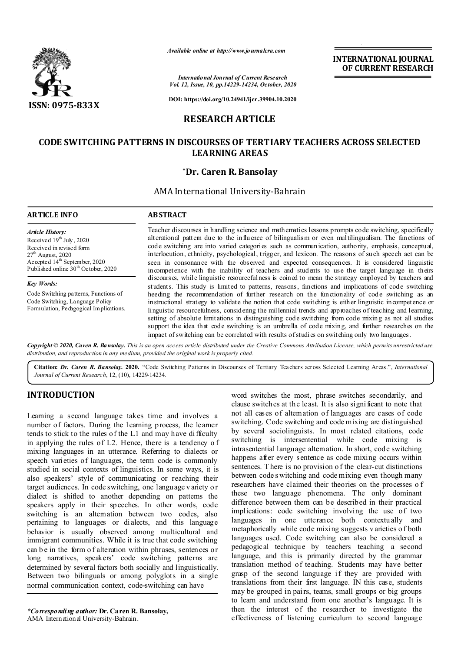

*Available online at http://www.journalcra.com*

*International Journal of Current Research Vol. 12, Issue, 10, pp.14229-14234, October, 2020*

**DOI: https://doi.org/10.24941/ijcr.39904.10.2020**

# **RESEARCH ARTICLE**

# **CODE SWITCHING PATTERNS IN DISCOURSES OF TERTIARY TEACHERS ACROSS SELECTED LEARNING AREAS**

## **\*Dr. Caren R. Bansolay**

AMA International University-Bahrain

#### **ARTICLE INFO ABSTRACT** Teacher discourses in handling science and mathematics lessons prompts code switching, specifically alterational pattern due to the influence of bilingualism or even multilingualism. The functions of code switching are into varied categories such as communication, authority, emphasis, conceptual, interlocution, ethnicity, psychological, trigger, and lexicon. The reasons of such speech act can be seen in consonance with the observed and expected consequences. It is considered linguistic incompetence with the inability of teachers and students to use the target language in theirs discourses, while linguistic resourcefulness is coined to mean the strategy employed by teachers and students. This study is limited to patterns, reasons, functions and implications of code switching heeding the recommendation of further research on the functionality of code switching as an instructional strategy to validate the notion that code switching is either linguistic incompetence or linguistic resourcefulness, considering the millennial trends and approaches of teaching and learning, setting of absolute limitations in distinguishing code switching from code mixing as not all studies support the idea that code switching is an umbrella of code mixing, and further researches on the impact of switching can be correlated with results of studies on switching only two languages. *Article History:* Received 19<sup>th</sup> July, 2020 Received in revised form  $27<sup>th</sup>$  August, 2020  $Ac$ cepted  $14^{\text{th}}$  September, 2020 Published online  $30<sup>th</sup>$  October, 2020 *Key Words:* Code Switching patterns, Functions of Code Switching, Language Policy Formulation, Pedagogical Implications.

Copyright © 2020, Caren R. Bansolay. This is an open access article distributed under the Creative Commons Attribution License, which permits unrestricted use, *distribution, and reproduction in any medium, provided the original work is properly cited.*

**Citation:** *Dr. Caren R. Bansolay.* **2020.** "Code Switching Patterns in Discourses of Tertiary Teachers across Selected Learning Areas.", *International Journal of Current Research*, 12, (10), 14229-14234.

# **INTRODUCTION**

Learning a second language takes time and involves a number of factors. During the learning process, the learner tends to stick to the rules of the L1 and may have difficulty in applying the rules of L2. Hence, there is a tendency o f mixing languages in an utterance. Referring to dialects or speech varieties of languages, the term code is commonly studied in social contexts of linguistics. In some ways, it is also speakers' style of communicating or reaching their target audiences. In code switching, one language v ariety o r dialect is shifted to another depending on patterns the speakers apply in their speeches. In other words, code switching is an alternation between two codes, also pertaining to languages or dialects, and this language behavior is usually observed among multicultural and immigrant communities. While it is true that code switching can be in the form of alteration within phrases, sentences or long narratives, speakers' code switching patterns are determined by several factors both socially and linguistically. Between two bilinguals or among polyglots in a single normal communication context, code-switching can have

*\*Corresponding author:* **Dr. Caren R. Bansolay,** AMA International University-Bahrain.

word switches the most, phrase switches secondarily, and clause switches at the least. It is also significant to note that not all cases of alternation of languages are cases of code switching. Code switching and code mixing are distinguished by several sociolinguists. In most related citations, code switching is intersentential while code mixing is intrasentential language alternation. In short, code switching happens after every sentence as code mixing occurs within sentences. T here is no provision o f the clear-cut distinctions between code s witching and code mixing even though many researchers have claimed their theories on the processes o f these two language phenomena. The only dominant difference between them can be described in their practical implications: code switching involving the use of two languages in one utterance both contextually and metaphorically while code mixing suggests v arieties o f both languages used. Code switching can also be considered a pedagogical technique by teachers teaching a second language, and this is primarily directed by the grammar translation method of teaching. Students may have better grasp of the second language if they are provided with translations from their first language. IN this case, students may be grouped in pairs, teams, small groups or big groups to learn and understand from one another's language. It is then the interest of the researcher to investigate the effectiveness of listening curriculum to second language

**INTERNATIONAL JOURNAL OF CURRENT RESEARCH**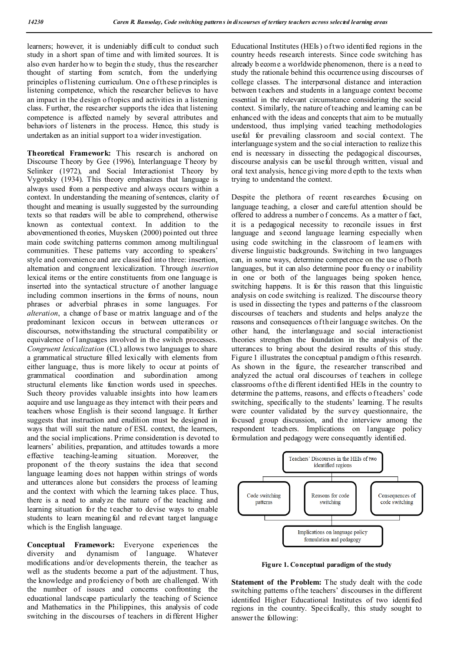learners; however, it is undeniably difficult to conduct such study in a short span of time and with limited sources. It is also even harder ho w to begin th e study, thus the researcher thought of starting from scratch, from the underlying principles of listening curriculum. On e of these p rinciples is listening competence, which the researcher believes to have an impact in the design of topics and activities in a listening class. Further, the researcher supports the idea that listening competence is affected namely by several attributes and behaviors of listeners in the process. Hence, this study is undertaken as an initial support to a wider investigation.

**Theoretical Framework:** This research is anchored on Discourse Theory by Gee (1996), Interlanguage Theory by Selinker (1972), and Social Interactionist Theory by Vygotsky (1934). This theory emphasizes that language is always used from a perspective and always occurs within a context. In understanding the meaning of sentences, clarity of thought and meaning is usually suggested by the surrounding texts so that readers will be able to comprehend, otherwise known as contextual context. In addition to the abovementioned th eories, Muysken (2000) pointed out three main code switching patterns common among multilingual communities. These patterns vary according to speakers' style and convenience and are classified into three: insertion, alternation and congruent lexicalization. Through *insertion* lexical items or the entire constituents from one language is inserted into the syntactical structure of another language including common insertions in the forms of nouns, noun phrases or adverbial phrases in some languages. For *alteration*, a change of base or matrix language and of the predominant lexicon occurs in between utterances or discourses, notwithstanding the structural compatibility or equivalence of languages involved in the switch processes. *Congruent lexicalization* (CL) allows two languages to share a grammatical structure filled lexically with elements from either language, thus is more likely to occur at points of grammatical coordination and subordination among structural elements like function words used in speeches. Such theory provides valuable insights into how learners acquire and use language as they interact with their peers and teachers whose English is their second language. It further suggests that instruction and erudition must be designed in ways that will suit the nature of ESL context, the learners, and the social implications. Prime consideration is devoted to learners' abilities, preparation, and attitudes towards a more effective teaching-learning situation. Moreover, the proponent of the theory sustains the idea that second language learning does not happen within strings of words and utterances alone but considers the process of learning and the context with which the learning takes place. Thus, there is a need to analyze the nature of the teaching and learning situation for the teacher to devise ways to enable students to learn meaningful and relevant target language which is the English language.

**Conceptual Framework:** Everyone experiences the diversity and dynamism of language. Whatever modifications and/or developments therein, the teacher as well as the students become a part of the adjustment. T hus, the knowledge and proficiency o f both are challenged. With the number of issues and concerns confronting the educational landscape particularly the teaching of Science and Mathematics in the Philippines, this analysis of code switching in the discourses of teachers in different Higher

Educational Institutes (HEIs) of two identified regions in the country heeds research interests. Since code switching has already b ecome a worldwide phenomenon, there is a need to study the rationale behind this occurrence using discourses of college classes. The interpersonal distance and interaction between t eachers and students in a language context become essential in the relevant circumstance considering the social context. Similarly, the nature of teaching and learning can be enhanced with the ideas and concepts that aim to be mutually understood, thus implying varied teaching methodologies useful for prevailing classroom and social context. The interlanguage system and the so cial interaction to realize this end is necessary in dissecting the pedagogical discourses, discourse analysis can be useful through written, visual and oral text analysis, hence giving more d epth to the texts when trying to understand the context.

Despite the plethora of recent researches focusing on language teaching, a closer and careful attention should be offered to address a number o f concerns. As a matter o f fact, it is a pedagogical necessity to reconcile issues in first language and second language learning especially when using code switching in the classroom of learners with diverse linguistic backgrounds. Switching in two languages can, in some ways, determine competence on the use of both languages, but it can also determine poor fluency or inability in one or both of the languages being spoken hence, switching happens. It is for this reason that this linguistic analysis on code switching is realized. The discourse theory is used in dissecting the types and patterns o f the classroom discourses of teachers and students and helps analyze the reasons and consequences of their language switches. On the other hand, the interlanguage and social interactionist theories strengthen the foundation in the analysis of the utterances to bring about the desired results of this study. Figure 1 illustrates the conceptual p aradigm o f this research. As shown in the figure, the researcher transcribed and analyzed the actual oral discourses of teachers in college classrooms of the di fferent identified HEIs in the country to determine the p attems, reasons, and effects of teachers' code switching, specifically to the students' learning. T he results were counter validated by the survey questionnaire, the focused group discussion, and the interview among the respondent teachers. Implications on language policy formulation and pedagogy were consequently identified.



**Figure 1. Conceptual paradigm of the study**

**Statement of the Problem:** The study dealt with the code switching patterns of the teachers' discourses in the different identified Higher Educational Institutes of two identified regions in the country. Specifically, this study sought to answer the following: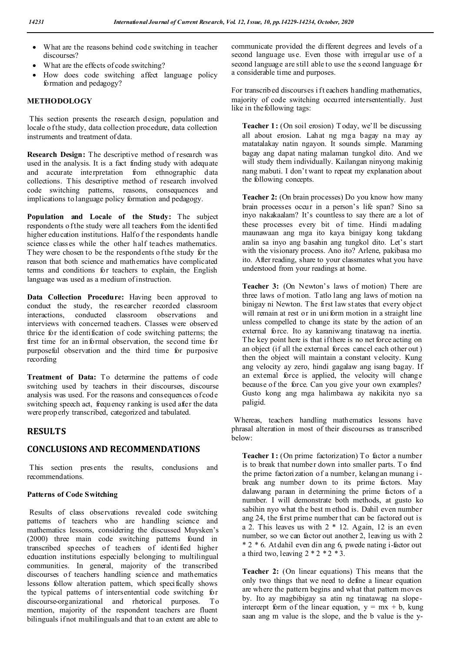- What are the reasons behind code switching in teacher discourses?
- What are the effects of code switching?
- How does code switching affect language policy formation and pedagogy?

## **METHODOLOGY**

This section presents the research design, population and locale o f the study, data collection procedure, data collection instruments and treatment of data.

**Research Design:** The descriptive method of research was used in the analysis. It is a fact finding study with adequate and accurate interpretation from ethnographic data collections. This descriptive method of research involved code switching patterns, reasons, consequences and implications to language policy formation and pedagogy.

**Population and Locale of the Study:** The subject respondents o f the study were all teachers from the identified higher education institutions. Half of the respondents handle science classes while the other half teaches mathematics. They were chosen to be the respondents of the study for the reason that both science and mathematics have complicated terms and conditions for teachers to explain, the English language was used as a medium of instruction.

**Data Collection Procedure:** Having been approved to conduct the study, the researcher recorded classroom interactions, conducted classroom observations and interviews with concerned teachers. Classes were observed thrice for the identification of code switching patterns; the first time for an informal observation, the second time for purposeful observation and the third time for purposive recording

**Treatment of Data:** To determine the patterns of code switching used by teachers in their discourses, discourse analysis was used. For the reasons and consequences of code switching speech act, frequency ranking is used after the data were properly transcribed, categorized and tabulated.

## **RESULTS**

## **CONCLUSIONS AND RECOMMENDATIONS**

This section presents the results, conclusions and recommendations.

## **Patterns of Code Switching**

Results of class observations revealed code switching patterns of teachers who are handling science and mathematics lessons, considering the discussed Muysken's (2000) three main code switching patterns found in transcribed speeches of teachers of identified higher education institutions especially belonging to multilingual communities. In general, majority of the transcribed discourses of teachers handling science and mathematics lessons follow alteration pattern, which specifically shows the typical patterns of intersentential code switching for discourse-organizational and rhetorical purposes. To mention, majority of the respondent teachers are fluent bilinguals if not multilinguals and that to an extent are able to

communicate provided the different degrees and levels of a second language use. Even those with irregular use of a second language are still able to use the s econd language for a considerable time and purposes.

For transcribed discourses if t eachers handling mathematics, majority of code switching occurred intersententially. Just like in the following tags:

**Teacher 1:** (On soil erosion) T oday, we'll be discussing all about erosion. Lahat ng mga bagay na may ay matatalakay natin ngayon. It sounds simple. Maraming bagay ang dapat nating malaman tungkol dito. And we will study them individually. Kailangan ninyong makinig nang mabuti. I don't want to repeat my explanation about the following concepts.

**Teacher 2:** (On brain processes) Do you know how many brain processes occur in a person's life span? Sino sa inyo nakakaalam? It's countless to say there are a lot of these processes every bit of time. Hindi madaling maunawaan ang mga ito kaya binigay kong takdang aralin sa inyo ang basahin ang tungkol dito. Let's start with the visionary process. Ano ito? Arlene, pakibasa mo ito. After reading, share to your classmates what you have understood from your readings at home.

**Teacher 3:** (On Newton's laws of motion) There are three laws of motion. Tatlo lang ang laws of motion na binigay ni Newton. The first law states that every object will remain at rest or in uniform motion in a straight line unless compelled to change its state by the action of an external force. Ito ay karaniwang tinatawag na inertia. The key point here is that if there is no net force acting on an object (if all the external forces cancel each other out ) then the object will maintain a constant velocity. Kung ang velocity ay zero, hindi gagalaw ang isang bagay. If an external force is applied, the velocity will change because of the force. Can you give your own examples? Gusto kong ang mga halimbawa ay nakikita nyo sa paligid.

Whereas, teachers handling mathematics lessons have phrasal alteration in most of their discourses as transcribed below:

**Teacher 1:** (On prime factorization) To factor a number is to break that number down into smaller parts. To find the prime factorization of a number, kelangan munang ibreak ang number down to its prime factors. May dalawang paraan in determining the prime factors of a number. I will demonstrate both methods, at gusto ko sabihin nyo what the best m ethod is. Dahil even number ang 24, the first prime number that can be factored out is a 2. This leaves us with 2 \* 12. Again, 12 is an even number, so we can factor out another 2, leaving us with 2 \* 2 \* 6. At dahil even din ang 6, pwede nating i-factor out a third two, leaving  $2 * 2 * 2 * 3$ .

**Teacher 2:** (On linear equations) This means that the only two things that we need to define a linear equation are where the pattern begins and what that pattern moves by. Ito ay magbibigay sa atin ng tinatawag na slopeintercept form of the linear equation,  $y = mx + b$ , kung saan ang m value is the slope, and the b value is the y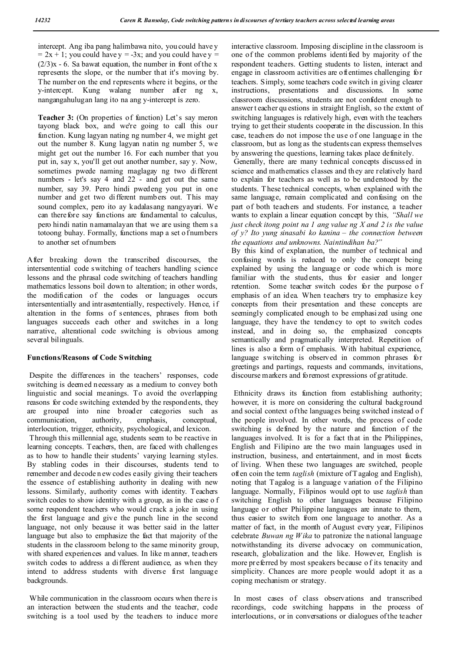intercept. Ang iba pang halimbawa nito, you could have y  $= 2x + 1$ ; you could have y = -3x; and you could have y =  $(2/3)x - 6$ . Sa bawat equation, the number in front of the x represents the slope, or the number that it's moving by. The number on the end represents where it begins, or the  $v$ -intercept. Kung walang number after ng  $x$ , nangangahulugan lang ito na ang y-intercept is zero.

**Teacher 3:** (On properties of function) Let's say meron tayong black box, and we're going to call this our function. Kung lagyan nating ng number 4, we might get out the number 8. Kung lagyan natin ng number 5, we might get out the number 16. For each number that you put in, say x, you'll get out another number, say y. Now, sometimes pwede naming maglagay ng two different numbers - let's say 4 and 22 - and get out the same number, say 39. Pero hindi pwedeng you put in one number and get two different numbers out. This may sound complex, pero ito ay kadalasang nangyayari. We can therefore say functions are fundamental to calculus, pero hindi natin namamalayan that we are using them s a totoong buhay. Formally, functions map a set o f numbers to another set of numbers

After breaking down the transcribed discourses, the intersentential code switching of teachers handling science lessons and the phrasal code switching of teachers handling mathematics lessons boil down to alteration; in other words, the modification of the codes or languages occurs intersententially and intrasententially, respectively. Hence, if alteration in the forms of sentences, phrases from both languages succeeds each other and switches in a long narrative, alterational code switching is obvious among several bilinguals.

## **Functions/Reasons of Code Switching**

Despite the differences in the teachers' responses, code switching is deemed necessary as a medium to convey both linguistic and social meanings. To avoid the overlapping reasons for code switching extended by the respondents, they are grouped into nine broader categories such as communication, authority, emphasis, conceptual, interlocution, trigger, ethnicity, psychological, and lexicon.

Through this millennial age, students seem to be reactive in learning concepts. Teachers, then, are faced with challenges as to how to handle their students' varying learning styles. By stabling codes in their discourses, students tend to remember and decode n ew codes easily giving their teachers the essence of establishing authority in dealing with new lessons. Similarly, authority comes with identity. Teachers switch codes to show identity with a group, as in the case o f some respondent teachers who would crack a joke in using the first language and give the punch line in the second language, not only because it was better said in the latter language but also to emphasize the fact that majority of the students in the classroom belong to the same minority group, with shared experiences and values. In like m anner, teachers switch codes to address a different audience, as when they intend to address students with diverse first language backgrounds.

While communication in the classroom occurs when there is an interaction between the stud ents and the teacher, code switching is a tool used by the teachers to induce more

interactive classroom. Imposing discipline in the classroom is one of the common problems identified by majority of the respondent teachers. Getting students to listen, interact and engage in classroom activities are oftentimes challenging for teachers. Simply, some teachers code switch in giving clearer instructions, presentations and discussions. In some classroom discussions, students are not confident enough to answer t eacher qu estions in straight English, so the extent of switching languages is relatively high, even with the teachers trying to get their students cooperate in the discussion. In this case, teachers do not impose the use of one language in the classroom, but as long as the students can express themselves by answering the questions, learning takes place definitely.

Generally, there are many technical concepts discussed in science and mathematics classes and th ey are relatively hard to explain for teachers as well as to be understood by the students. T hese technical concepts, when explained with the same language, remain complicated and confusing on the part of both teachers and students. For instance, a teacher wants to explain a linear equation concept by this*, "Shall we just check itong point na 1 ang value ng X and 2 is the value of y? Ito yung sinasabi ko kanina – the connection between the equations and unknowns. Naintindihan ba?"* 

By this kind of explanation, the number of technical and confusing words is reduced to only the concept being explained by using the language or code which is more familiar with the students, thus for easier and longer retention. Some teacher switch codes for the purpose o f emphasis of an idea. When teachers try to emphasize key concepts from their presentation and these concepts are seemingly complicated enough to be emphasi zed using one language, they have the tendency to opt to switch codes instead, and in doing so, the emphasized concepts semantically and pragmatically interpreted. Repetition of lines is also a form of emphasis. With habitual experience, language switching is observed in common phrases for greetings and partings, requests and commands, invitations, discourse markers and foremost expressions of gratitude.

Ethnicity draws its function from establishing authority; however, it is more on considering the cultural background and social context of the languages being switched instead o f the people involved. In other words, the process of code switching is defined by the nature and function of the languages involved. It is for a fact that in the Philippines, English and Filipino are the two main languages used in instruction, business, and entertainment, and in most facets of living. When these two languages are switched, people often coin the term *taglish* (mixture of T agalog and English), noting that Tagalog is a language variation of the Filipino language. Normally, Filipinos would opt to use *taglish* than switching English to other languages because Filipino language or other Philippine languages are innate to them, thus easier to switch from one language to another. As a matter of fact, in the month of August every year, Filipinos celebrate *Buwan ng Wika* to patronize the national language notwithstanding its diverse advocacy on communication, research, globalization and the like. However, English is more preferred by most speakers because o f its tenacity and simplicity. Chances are more people would adopt it as a coping mechanism or strategy.

In most cases of class observations and transcribed recordings, code switching happens in the process of interlocutions, or in conversations or dialogues of the teacher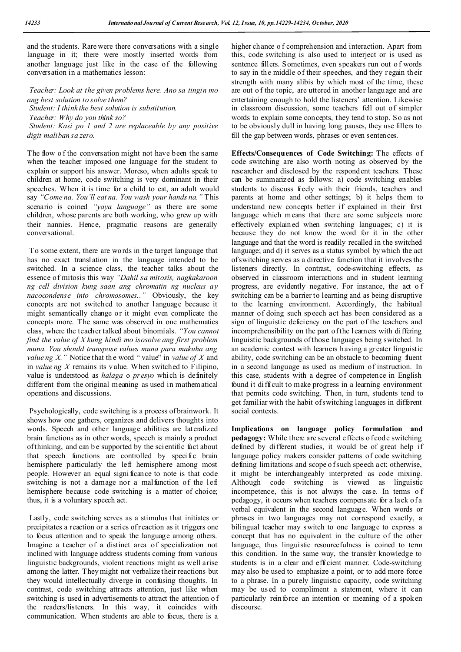and the students. Rare were there conversations with a single language in it; there were mostly inserted words from another language just like in the case of the following conversation in a mathematics lesson:

*Teacher: Look at the given problems here. Ano sa tingin mo ang best solution to solve them? Student: I think the best solution is substitution. Teacher: Why do you think so? Student: Kasi po 1 and 2 are replaceable by any positive* 

*digit maliban sa zero.*

The flow of the conversation might not have been the same when the teacher imposed one language for the student to explain or support his answer. Moreso, when adults speak to children at home, code switching is very dominant in their speeches. When it is time for a child to eat, an adult would say *"Come na. You'll eat na. You wash your hands na."* This scenario is coined *"yaya language"* as there are some children, whose parents are both working, who grew up with their nannies. Hence, pragmatic reasons are generally conversational.

To some extent, there are words in the target language that has no exact transl ation in the language intended to be switched. In a science class, the teacher talks about the essence of mitosis this way *"Dahil sa mitosis, nagkakaroon ng cell division kung saan ang chromatin ng nucleus ay nacocondense into chromosomes.."* Obviously, the key concepts are not switched to another language because it might semantically change or it might even complicate the concepts more. The same was observed in one mathematics class, where the teacher talked about binomials. *"You cannot find the value of X kung hindi mo isosolve ang first problem muna. You should transpose values muna para makuha ang value ng X.*" Notice that the word " value" in *value of*  $X$  and in *value ng X* remains its v alue. When switched to Filipino, value is understood as *halaga* o *presyo* which is definitely different from the original meaning as used in mathematical operations and discussions.

Psychologically, code switching is a process of brainwork. It shows how one gathers, organizes and delivers thoughts into words. Speech and other language abilities are lateralized brain functions as in other words, speech is mainly a product of thinking, and can b e supported by the scientific fact about that speech functions are controlled by specific brain hemisphere particularly the left hemisphere among most people. However an equal signi ficance to note is that code switching is not a damage nor a malfunction of the left hemisphere because code switching is a matter of choice; thus, it is a voluntary speech act.

Lastly, code switching serves as a stimulus that initiates or precipitates a reaction or a series of reaction as it triggers one to focus attention and to speak the language among others. Imagine a teacher of a distinct area of specialization not inclined with language address students coming from various linguistic backgrounds, violent reactions might as well arise among the latter. They might not verbalize their reactions but they would intellectually diverge in confusing thoughts. In contrast, code switching attracts attention, just like when switching is used in advertisements to attract the attention o f the readers/listeners. In this way, it coincides with communication. When students are able to focus, there is a

higher chance o f comprehension and interaction. Apart from this, code switching is also used to interject or is used as sentence fillers. Sometimes, even speakers run out o f words to say in the middle of their speeches, and they regain their strength with many alibis by which most of the time, these are out o f the topic, are uttered in another language and are entertaining enough to hold the listeners' attention. Likewise in classroom discussion, some teachers fell out of simpler words to explain some concepts, they tend to stop. So as not to be obviously dull in having long pauses, they use fillers to fill the gap between words, phrases or even sentences.

**Effects/Consequences of Code Switching:** The effects of code switching are also worth noting as observed by the researcher and disclosed by the respondent teachers. These can be summarized as follows: a) code switching enables students to discuss freely with their friends, teachers and parents at home and other settings; b) it helps them to understand new concepts better if explained in their first language which means that there are some subjects more effectively explained when switching languages; c) it is because they do not know the word for it in the other language and that the word is readily recalled in the switched language; and d) it serves as a status symbol by which the act of switching serves as a directive function that it involves the listeners directly. In contrast, code-switching effects, as observed in classroom interactions and in student learning progress, are evidently negative. For instance, the act o f switching can be a barrier to learning and as being disruptive to the learning environment. Accordingly, the habitual manner of doing such speech act has been considered as a sign of linguistic deficiency on the part of the teachers and incomprehensibility on the part of the l earners with differing linguistic backgrounds of those languages being switched. In an academic context with learners having a greater linguistic ability, code switching can be an obstacle to becoming fluent in a second language as used as medium of instruction. In this case, students with a degree of competence in English found it difficult to make progress in a learning environment that permits code switching. Then, in turn, students tend to get familiar with the habit of switching languages in different social contexts.

**Implications on language policy formulation and pedagogy:** While there are several effects of code switching defined by different studies, it would be of great help if language policy makers consider patterns of code switching defining limitations and scope o f such speech act; otherwise, it might be interchangeably interpreted as code mixing. Although code switching is viewed as linguistic incompetence, this is not always the case. In terms o f pedagogy, it occurs when teachers compensate for a lack of a verbal equivalent in the second language. When words or phrases in two languages may not correspond exactly, a bilingual teacher may switch to one language to express a concept that has no equivalent in the culture of the other language, thus linguistic resourcefulness is coined to term this condition. In the same way, the transfer knowledge to students is in a clear and efficient manner. Code-switching may also be used to emphasize a point, or to add more force to a phrase. In a purely linguistic capacity, code switching may be used to compliment a statement, where it can particularly reinforce an intention or meaning of a spoken discourse.